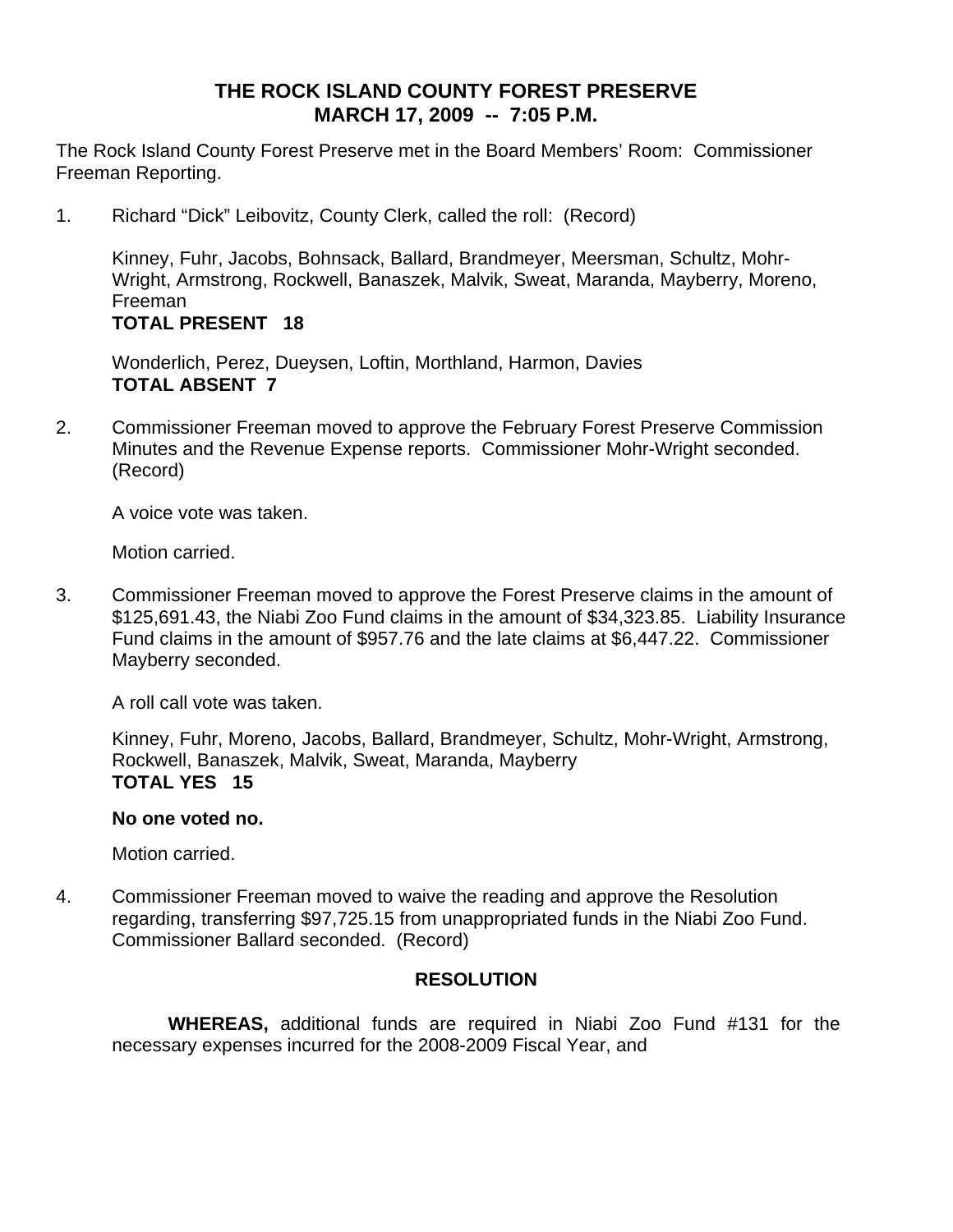# **THE ROCK ISLAND COUNTY FOREST PRESERVE MARCH 17, 2009 -- 7:05 P.M.**

The Rock Island County Forest Preserve met in the Board Members' Room: Commissioner Freeman Reporting.

1. Richard "Dick" Leibovitz, County Clerk, called the roll: (Record)

Kinney, Fuhr, Jacobs, Bohnsack, Ballard, Brandmeyer, Meersman, Schultz, Mohr-Wright, Armstrong, Rockwell, Banaszek, Malvik, Sweat, Maranda, Mayberry, Moreno, Freeman **TOTAL PRESENT 18** 

Wonderlich, Perez, Dueysen, Loftin, Morthland, Harmon, Davies **TOTAL ABSENT 7** 

2. Commissioner Freeman moved to approve the February Forest Preserve Commission Minutes and the Revenue Expense reports. Commissioner Mohr-Wright seconded. (Record)

A voice vote was taken.

Motion carried.

3. Commissioner Freeman moved to approve the Forest Preserve claims in the amount of \$125,691.43, the Niabi Zoo Fund claims in the amount of \$34,323.85. Liability Insurance Fund claims in the amount of \$957.76 and the late claims at \$6,447.22. Commissioner Mayberry seconded.

A roll call vote was taken.

Kinney, Fuhr, Moreno, Jacobs, Ballard, Brandmeyer, Schultz, Mohr-Wright, Armstrong, Rockwell, Banaszek, Malvik, Sweat, Maranda, Mayberry **TOTAL YES 15** 

#### **No one voted no.**

Motion carried.

4. Commissioner Freeman moved to waive the reading and approve the Resolution regarding, transferring \$97,725.15 from unappropriated funds in the Niabi Zoo Fund. Commissioner Ballard seconded. (Record)

### **RESOLUTION**

 **WHEREAS,** additional funds are required in Niabi Zoo Fund #131 for the necessary expenses incurred for the 2008-2009 Fiscal Year, and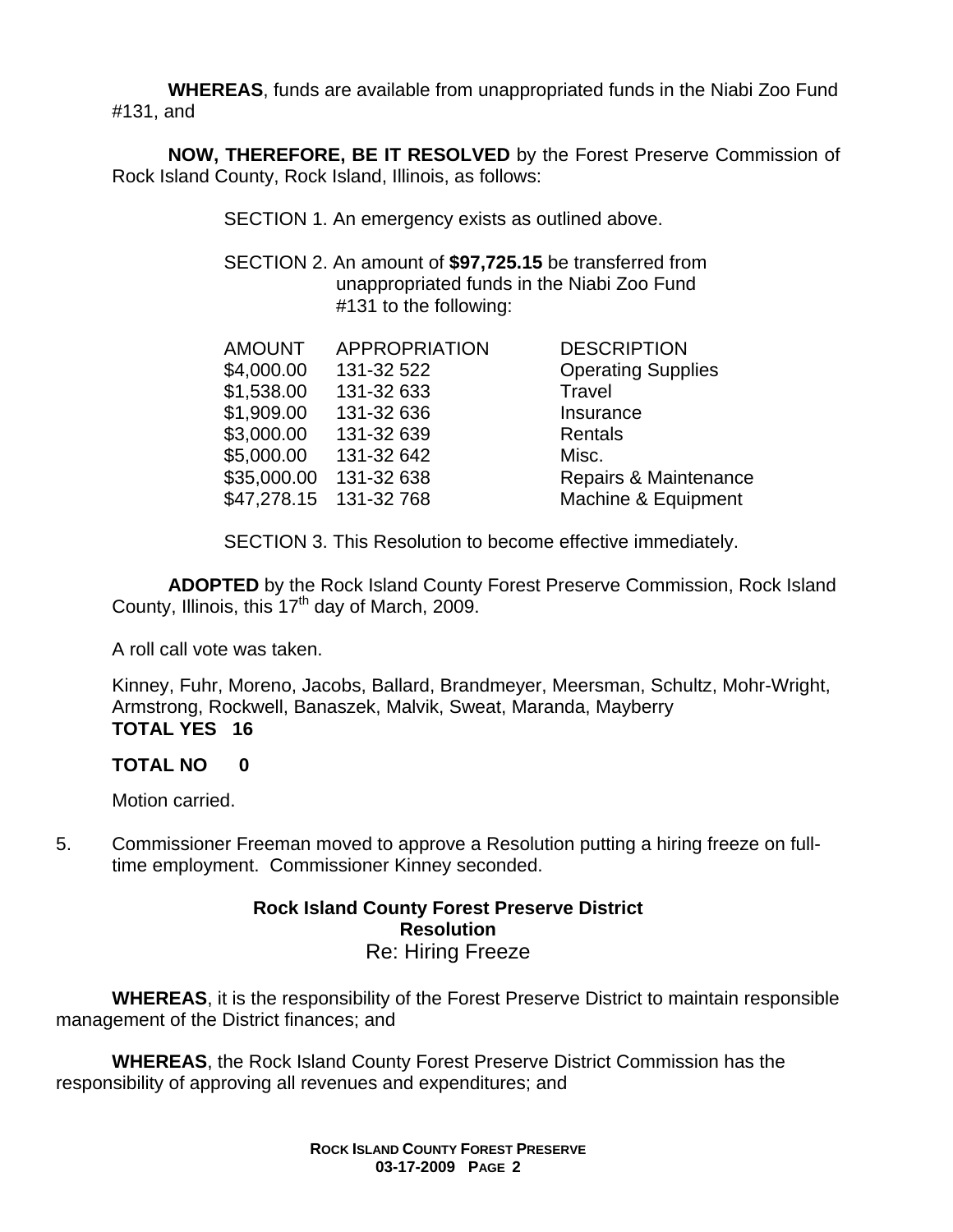**WHEREAS**, funds are available from unappropriated funds in the Niabi Zoo Fund #131, and

**NOW, THEREFORE, BE IT RESOLVED** by the Forest Preserve Commission of Rock Island County, Rock Island, Illinois, as follows:

SECTION 1. An emergency exists as outlined above.

 SECTION 2. An amount of **\$97,725.15** be transferred from unappropriated funds in the Niabi Zoo Fund #131 to the following:

| <b>APPROPRIATION</b>   | <b>DESCRIPTION</b>        |
|------------------------|---------------------------|
| 131-32 522             | <b>Operating Supplies</b> |
| 131-32 633             | Travel                    |
| 131-32 636             | Insurance                 |
| 131-32 639             | Rentals                   |
| 131-32 642             | Misc.                     |
| 131-32 638             | Repairs & Maintenance     |
| \$47,278.15 131-32 768 | Machine & Equipment       |
|                        |                           |

SECTION 3. This Resolution to become effective immediately.

**ADOPTED** by the Rock Island County Forest Preserve Commission, Rock Island County, Illinois, this  $17<sup>th</sup>$  day of March, 2009.

A roll call vote was taken.

Kinney, Fuhr, Moreno, Jacobs, Ballard, Brandmeyer, Meersman, Schultz, Mohr-Wright, Armstrong, Rockwell, Banaszek, Malvik, Sweat, Maranda, Mayberry **TOTAL YES 16** 

## **TOTAL NO 0**

Motion carried.

5. Commissioner Freeman moved to approve a Resolution putting a hiring freeze on fulltime employment. Commissioner Kinney seconded.

### **Rock Island County Forest Preserve District Resolution**  Re: Hiring Freeze

**WHEREAS**, it is the responsibility of the Forest Preserve District to maintain responsible management of the District finances; and

**WHEREAS**, the Rock Island County Forest Preserve District Commission has the responsibility of approving all revenues and expenditures; and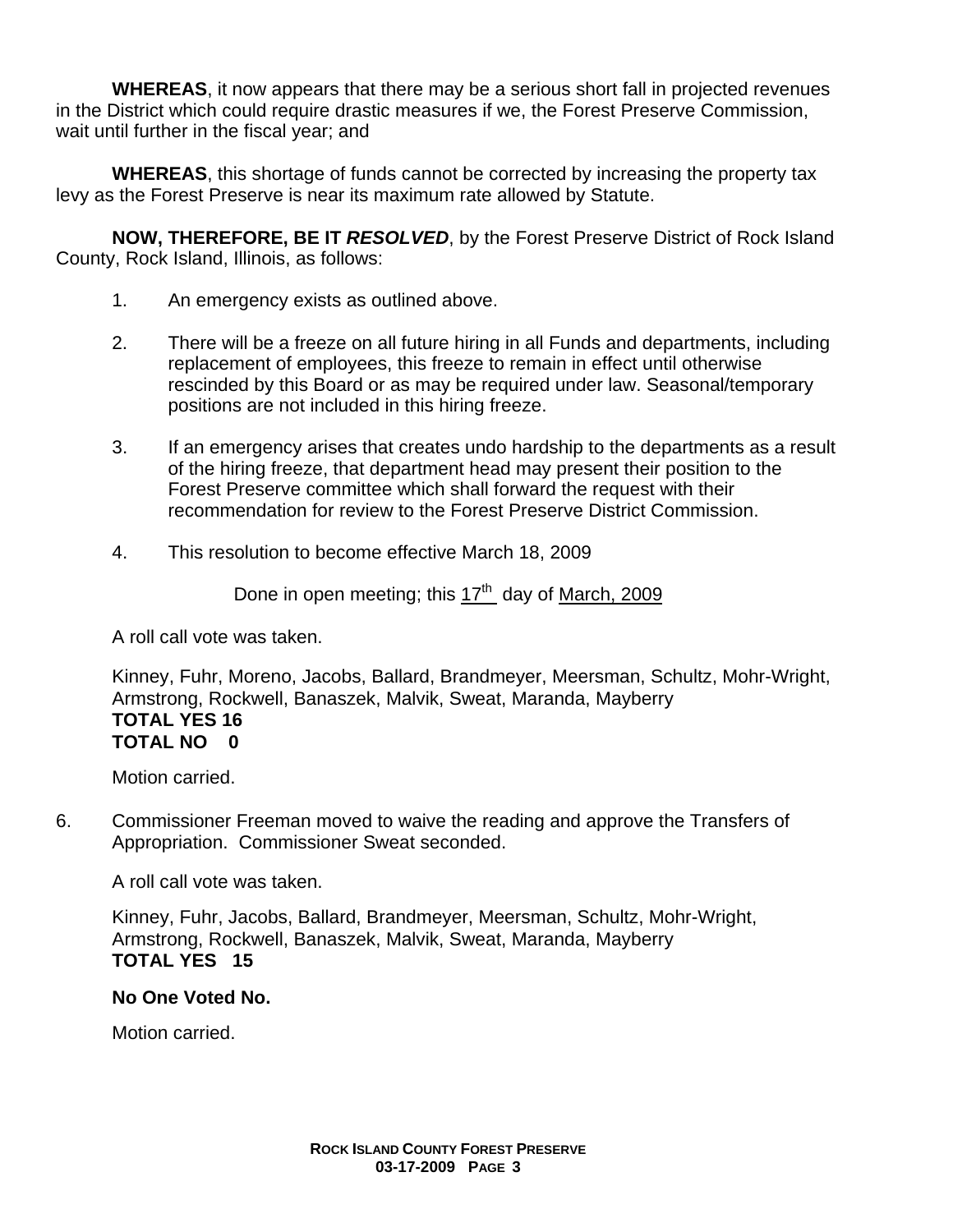**WHEREAS**, it now appears that there may be a serious short fall in projected revenues in the District which could require drastic measures if we, the Forest Preserve Commission, wait until further in the fiscal year; and

**WHEREAS**, this shortage of funds cannot be corrected by increasing the property tax levy as the Forest Preserve is near its maximum rate allowed by Statute.

**NOW, THEREFORE, BE IT** *RESOLVED*, by the Forest Preserve District of Rock Island County, Rock Island, Illinois, as follows:

- 1. An emergency exists as outlined above.
- 2. There will be a freeze on all future hiring in all Funds and departments, including replacement of employees, this freeze to remain in effect until otherwise rescinded by this Board or as may be required under law. Seasonal/temporary positions are not included in this hiring freeze.
- 3. If an emergency arises that creates undo hardship to the departments as a result of the hiring freeze, that department head may present their position to the Forest Preserve committee which shall forward the request with their recommendation for review to the Forest Preserve District Commission.
- 4. This resolution to become effective March 18, 2009

Done in open meeting; this  $17<sup>th</sup>$  day of March, 2009

A roll call vote was taken.

Kinney, Fuhr, Moreno, Jacobs, Ballard, Brandmeyer, Meersman, Schultz, Mohr-Wright, Armstrong, Rockwell, Banaszek, Malvik, Sweat, Maranda, Mayberry **TOTAL YES 16 TOTAL NO 0** 

Motion carried.

6. Commissioner Freeman moved to waive the reading and approve the Transfers of Appropriation. Commissioner Sweat seconded.

A roll call vote was taken.

Kinney, Fuhr, Jacobs, Ballard, Brandmeyer, Meersman, Schultz, Mohr-Wright, Armstrong, Rockwell, Banaszek, Malvik, Sweat, Maranda, Mayberry **TOTAL YES 15** 

### **No One Voted No.**

Motion carried.